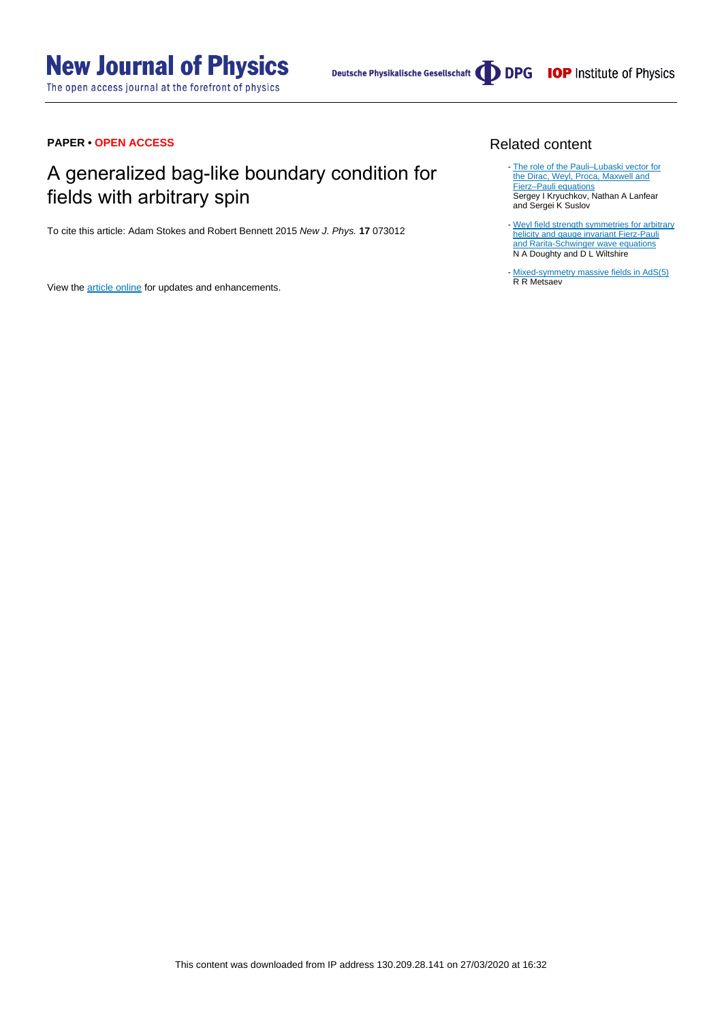The open access journal at the forefront of physics

Deutsche Physikalische Gesellschaft (DDPG IOP Institute of Physics

### **PAPER • OPEN ACCESS**

## A generalized bag-like boundary condition for fields with arbitrary spin

To cite this article: Adam Stokes and Robert Bennett 2015 New J. Phys. **17** 073012

View the [article online](https://doi.org/10.1088/1367-2630/17/7/073012) for updates and enhancements.

### Related content

- The role of the Pauli-Lubaski vector for [the Dirac, Weyl, Proca, Maxwell and](http://iopscience.iop.org/article/10.1088/0031-8949/91/3/035301) [Fierz–Pauli equations](http://iopscience.iop.org/article/10.1088/0031-8949/91/3/035301) Sergey I Kryuchkov, Nathan A Lanfear and Sergei K Suslov
- [Weyl field strength symmetries for arbitrary](http://iopscience.iop.org/article/10.1088/0305-4470/19/18/020) [helicity and gauge invariant Fierz-Pauli](http://iopscience.iop.org/article/10.1088/0305-4470/19/18/020) [and Rarita-Schwinger wave equations](http://iopscience.iop.org/article/10.1088/0305-4470/19/18/020) N A Doughty and D L Wiltshire
- [Mixed-symmetry massive fields in AdS\(5\)](http://iopscience.iop.org/article/10.1088/0264-9381/22/13/016) R R Metsaev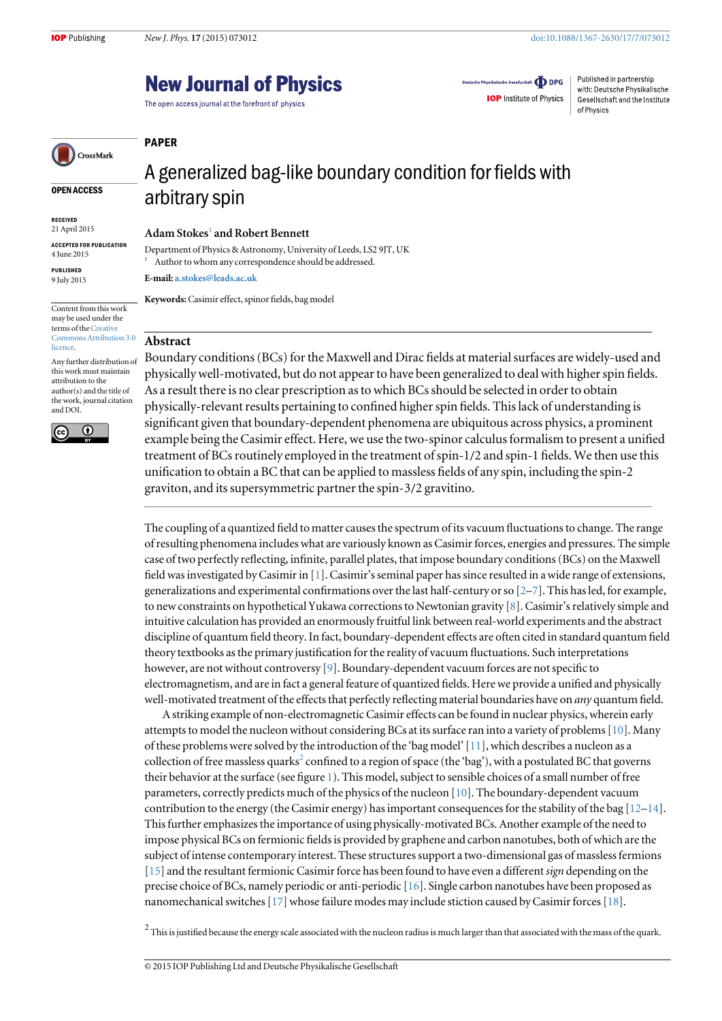### **New Journal of Physics**

The open access journal at the forefront of physics

Deutsche Physikalische Gesellschaft **ODPG** 

**IOP** Institute of Physics

Published in partnership with: Deutsche Physikalische Gesellschaft and the Institute of Physics

# CrossMark

OPEN ACCESS

RECEIVED 21 April 2015

ACCEPTED FOR PUBLICATION 4 June 2015

PUBLISHED 9 July 2015

Content from this work may be used under the terms of the[Creative](http://creativecommons.org/licenses/by/3.0) [Commons Attribution 3.0](http://creativecommons.org/licenses/by/3.0) [licence.](http://creativecommons.org/licenses/by/3.0)

Any further distribution of this work must maintain attribution to the author(s) and the title of the work, journal citation and DOI.



## A generalized bag-like boundary condition for fields with arbitrary spin

Adam Stokes<sup>1</sup> and Robert Bennett

Department of Physics & Astronomy, University of Leeds, LS2 9JT, UK <sup>1</sup> Author to whom any correspondence should be addressed.

E-mail: [a.stokes@leads.ac.uk](mailto:a.stokes@leads.ac.uk)

Keywords:Casimir effect, spinor fields, bag model

### Abstract

PAPER

Boundary conditions (BCs) for the Maxwell and Dirac fields at material surfaces are widely-used and physically well-motivated, but do not appear to have been generalized to deal with higher spin fields. As a result there is no clear prescription as to which BCs should be selected in order to obtain physically-relevant results pertaining to confined higher spin fields. This lack of understanding is significant given that boundary-dependent phenomena are ubiquitous across physics, a prominent example being the Casimir effect. Here, we use the two-spinor calculus formalism to present a unified treatment of BCs routinely employed in the treatment of spin-1 2 and spin-1 fields. We then use this unification to obtain a BC that can be applied to massless fields of any spin, including the spin-2 graviton, and its supersymmetric partner the spin-3/2 gravitino.

The coupling of a quantized field to matter causes the spectrum of its vacuum fluctuations to change. The range of resulting phenomena includes what are variously known as Casimir forces, energies and pressures. The simple case of two perfectly reflecting, infinite, parallel plates, that impose boundary conditions (BCs) on the Maxwell field was investigated by Casimir in [[1](#page-5-0)]. Casimir's seminal paper has since resulted in a wide range of extensions, generalizations and experimental confirmations over the last half-century or so [\[2](#page-5-0)–[7\]](#page-5-0). This has led, for example, to new constraints on hypothetical Yukawa corrections to Newtonian gravity [[8](#page-5-0)]. Casimir's relatively simple and intuitive calculation has provided an enormously fruitful link between real-world experiments and the abstract discipline of quantum field theory. In fact, boundary-dependent effects are often cited in standard quantum field theory textbooks as the primary justification for the reality of vacuum fluctuations. Such interpretations however, are not without controversy [[9\]](#page-5-0). Boundary-dependent vacuum forces are not specific to electromagnetism, and are in fact a general feature of quantized fields. Here we provide a unified and physically well-motivated treatment of the effects that perfectly reflecting material boundaries have on *any* quantum field.

A striking example of non-electromagnetic Casimir effects can be found in nuclear physics, wherein early attempts to model the nucleon without considering BCs at its surface ran into a variety of problems [[10](#page-5-0)]. Many of these problems were solved by the introduction of the 'bag model'[\[11](#page-5-0)], which describes a nucleon as a collection of free massless quarks<sup>2</sup> confined to a region of space (the 'bag'), with a postulated BC that governs their behavior at the surface (see figure [1](#page-2-0)). This model, subject to sensible choices of a small number of free parameters, correctly predicts much of the physics of the nucleon [[10](#page-5-0)]. The boundary-dependent vacuum contribution to the energy (the Casimir energy) has important consequences for the stability of the bag [\[12](#page-5-0)–[14](#page-5-0)]. This further emphasizes the importance of using physically-motivated BCs. Another example of the need to impose physical BCs on fermionic fields is provided by graphene and carbon nanotubes, both of which are the subject of intense contemporary interest. These structures support a two-dimensional gas of massless fermions [[15](#page-5-0)] and the resultant fermionic Casimir force has been found to have even a different sign depending on the precise choice of BCs, namely periodic or anti-periodic [\[16\]](#page-5-0). Single carbon nanotubes have been proposed as nanomechanical switches [\[17\]](#page-5-0) whose failure modes may include stiction caused by Casimir forces [[18](#page-5-0)][.](#page-2-0)

 $^2$  This is justified because the energy scale associated with the nucleon radius is much larger than that associated with the mass of the quark.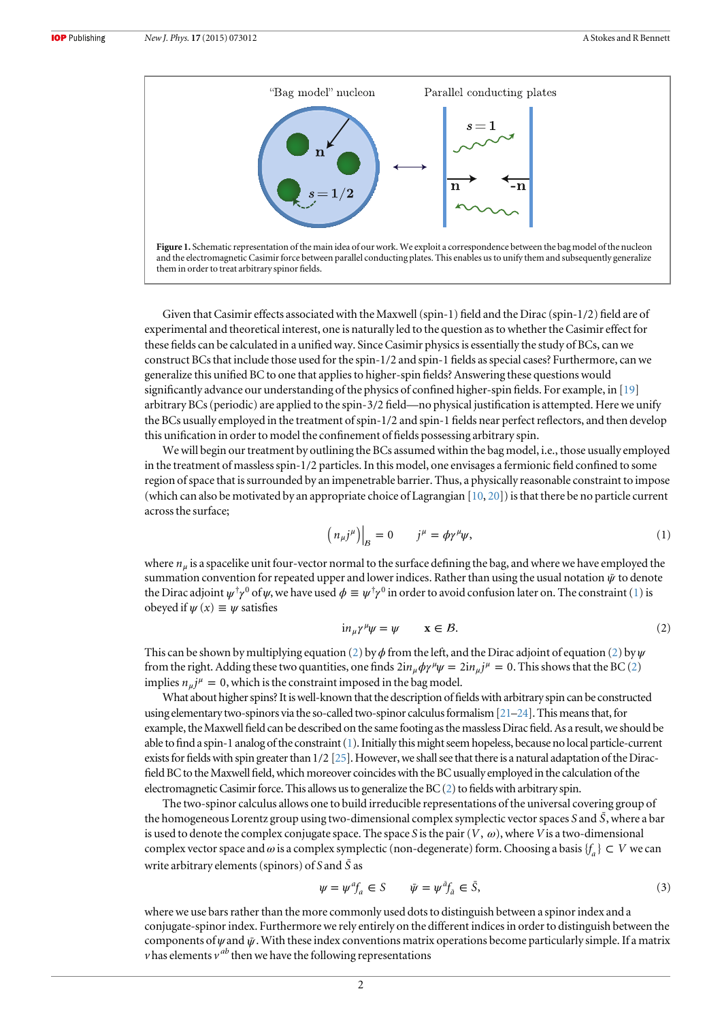<span id="page-2-0"></span>

Given that Casimir effects associated with the Maxwell (spin-1) field and the Dirac (spin-1/2) field are of experimental and theoretical interest, one is naturally led to the question as to whether the Casimir effect for these fields can be calculated in a unified way. Since Casimir physics is essentially the study of BCs, can we construct BCs that include those used for the spin-1 2 and spin-1 fields as special cases? Furthermore, can we generalize this unified BC to one that applies to higher-spin fields? Answering these questions would significantly advance our understanding of the physics of confined higher-spin fields. For example, in [\[19\]](#page-5-0) arbitrary BCs (periodic) are applied to the spin-3 2 field—no physical justification is attempted. Here we unify the BCs usually employed in the treatment of spin-1/2 and spin-1 fields near perfect reflectors, and then develop this unification in order to model the confinement of fields possessing arbitrary spin.

We will begin our treatment by outlining the BCs assumed within the bag model, i.e., those usually employed in the treatment of massless spin-1/2 particles. In this model, one envisages a fermionic field confined to some region of space that is surrounded by an impenetrable barrier. Thus, a physically reasonable constraint to impose (which can also be motivated by an appropriate choice of Lagrangian [[10](#page-5-0), [20](#page-5-0)]) is that there be no particle current across the surface;

$$
\left(n_{\mu}j^{\mu}\right)\Big|_{B} = 0 \qquad j^{\mu} = \phi \gamma^{\mu} \psi,\tag{1}
$$

where *n<sup>μ</sup>* is a spacelike unit four-vector normal to the surface defining the bag, and where we have employed the summation convention for repeated upper and lower indices. Rather than using the usual notation *ψ*¯ to denote the Dirac adjoint  $\psi^{\dagger} \gamma^0$  of  $\psi$ , we have used  $\phi \equiv \psi^{\dagger} \gamma^0$  in order to avoid confusion later on. The constraint (1) is obeyed if  $\psi(x) \equiv \psi$  satisfies

$$
in_{\mu}\gamma^{\mu}\psi = \psi \qquad \mathbf{x} \in \mathcal{B}.\tag{2}
$$

This can be shown by multiplying equation (2) by  $\phi$  from the left, and the Dirac adjoint of equation (2) by  $\psi$ from the right. Adding these two quantities, one finds  $2in_u \phi \gamma^\mu \psi = 2in_u j^\mu = 0$ . This shows that the BC (2) implies  $n_{\mu}j^{\mu} = 0$ , which is the constraint imposed in the bag model.

What about higher spins? It is well-known that the description of fields with arbitrary spin can be constructed using elementary two-spinors via the so-called two-spinor calculus formalism  $[21-24]$  $[21-24]$  $[21-24]$ . This means that, for example, the Maxwell field can be described on the same footing as the massless Dirac field. As a result, we should be able to find a spin-1 analog of the constraint (1). Initially this might seem hopeless, because no local particle-current exists for fields with spin greater than  $1/2$  [\[25\]](#page-5-0). However, we shall see that there is a natural adaptation of the Diracfield BC to the Maxwell field, which moreover coincides with the BC usually employed in the calculation of the electromagnetic Casimir force. This allows us to generalize the  $BC(2)$  to fields with arbitrary spin.

The two-spinor calculus allows one to build irreducible representations of the universal covering group of the homogeneous Lorentz group using two-dimensional complex symplectic vector spaces S and  $\bar{S}$ , where a bar is used to denote the complex conjugate space. The space S is the pair  $(V, \omega)$ , where V is a two-dimensional complex vector space and  $\omega$  is a complex symplectic (non-degenerate) form. Choosing a basis {*f<sub>a</sub>*}  $\subset V$  we can write arbitrary elements (spinors) of S and *S*¯ as

$$
\psi = \psi^a f_a \in S \qquad \bar{\psi} = \psi^{\bar{a}} f_{\bar{a}} \in \bar{S}, \tag{3}
$$

where we use bars rather than the more commonly used dots to distinguish between a spinor index and a conjugate-spinor index. Furthermore we rely entirely on the different indices in order to distinguish between the components of *ψ* and *ψ*. With these index conventions matrix operations become particularly simple. If a matrix  $\nu$  has elements  $\nu^{ab}$  then we have the following representations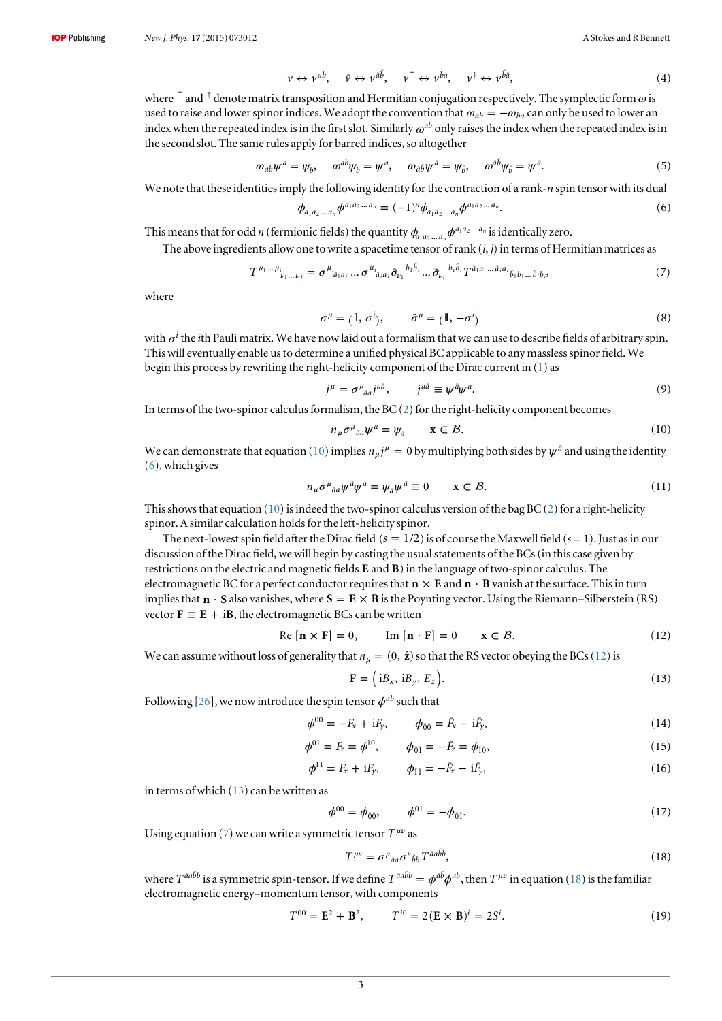$$
\nu \leftrightarrow \nu^{ab}, \quad \bar{\nu} \leftrightarrow \nu^{\bar{a}\bar{b}}, \quad \nu^{\top} \leftrightarrow \nu^{ba}, \quad \nu^{\dagger} \leftrightarrow \nu^{\bar{b}\bar{a}}, \tag{4}
$$

<span id="page-3-0"></span>where  $\bar{\tau}$  and  $\dot{\tau}$  denote matrix transposition and Hermitian conjugation respectively. The symplectic form  $\omega$  is used to raise and lower spinor indices. We adopt the convention that  $\omega_{ab} = -\omega_{ba}$  can only be used to lower an index when the repeated index is in the first slot. Similarly  $\omega^{ab}$  only raises the index when the repeated index is in the second slot. The same rules apply for barred indices, so altogether

$$
\omega_{ab}\psi^a = \psi_b, \quad \omega^{ab}\psi_b = \psi^a, \quad \omega_{\bar{a}\bar{b}}\psi^{\bar{a}} = \psi_{\bar{b}}, \quad \omega^{\bar{a}\bar{b}}\psi_{\bar{b}} = \psi^{\bar{a}}.
$$
\n<sup>(5)</sup>

We note that these identities imply the following identity for the contraction of a rank-n spin tensor with its dual

$$
\phi_{a_1 a_2 \dots a_n} \phi^{a_1 a_2 \dots a_n} = (-1)^n \phi_{a_1 a_2 \dots a_n} \phi^{a_1 a_2 \dots a_n}.
$$
\n<sup>(6)</sup>

This means that for odd *n* (fermionic fields) the quantity  $\phi_{a_1a_2...a_n}\phi^{a_1a_2...a_n}$  is identically zero.

The above ingredients allow one to write a spacetime tensor of rank  $(i, j)$  in terms of Hermitian matrices as

$$
T^{\mu_1 \dots \mu_i}{}_{\nu_1 \dots \nu_j} = \sigma^{\mu_1}{}_{\bar{a}_1 a_1} \dots \sigma^{\mu_i}{}_{\bar{a}_i a_i} \tilde{\sigma}_{\nu_1}{}^{b_1 \bar{b}_1} \dots \tilde{\sigma}_{\nu_i}{}^{b_i \bar{b}_i} T^{\bar{a}_1 a_1 \dots \bar{a}_i a_i}{}_{\bar{b}_1 b_1 \dots \bar{b}_i b_i},\tag{7}
$$

where

$$
\sigma^{\mu} = (\mathbb{I}, \sigma^{i}), \qquad \tilde{\sigma}^{\mu} = (\mathbb{I}, -\sigma^{i})
$$
\n(8)

with  $\sigma^i$  the *i*th Pauli matrix. We have now laid out a formalism that we can use to describe fields of arbitrary spin. This will eventually enable us to determine a unified physical BC applicable to any massless spinor field. We begin this process by rewriting the right-helicity component of the Dirac current in [\(1](#page-2-0)) as

$$
j^{\mu} = \sigma^{\mu}_{\ \bar{a}a} j^{a\bar{a}}, \qquad j^{a\bar{a}} \equiv \psi^{\bar{a}} \psi^{a}.
$$

In terms of the two-spinor calculus formalism, the  $BC(2)$  $BC(2)$  $BC(2)$  for the right-helicity component becomes

$$
n_{\mu}\sigma^{\mu}{}_{\tilde{a}a}\psi^{a}=\psi_{\tilde{a}}\qquad\mathbf{x}\in\mathcal{B}.\tag{10}
$$

We can demonstrate that equation (10) implies  $n_{\mu}j^{\mu} = 0$  by multiplying both sides by  $\psi^{\bar{a}}$  and using the identity (6), which gives

$$
n_{\mu}\sigma^{\mu}{}_{\tilde{a}a}\psi^{\tilde{a}}\psi^{\tilde{a}} = \psi_{\tilde{a}}\psi^{\tilde{a}} \equiv 0 \qquad \mathbf{x} \in \mathcal{B}.\tag{11}
$$

This shows that equation  $(10)$  is indeed the two-spinor calculus version of the bag BC  $(2)$  $(2)$  for a right-helicity spinor. A similar calculation holds for the left-helicity spinor.

The next-lowest spin field after the Dirac field  $(s = 1/2)$  is of course the Maxwell field  $(s = 1)$ . Just as in our discussion of the Dirac field, we will begin by casting the usual statements of the BCs (in this case given by restrictions on the electric and magnetic fields **E** and **B**) in the language of two-spinor calculus. The electromagnetic BC for a perfect conductor requires that  $\mathbf{n} \times \mathbf{E}$  and  $\mathbf{n} \cdot \mathbf{B}$  vanish at the surface. This in turn implies that  $\mathbf{n} \cdot \mathbf{S}$  also vanishes, where  $\mathbf{S} = \mathbf{E} \times \mathbf{B}$  is the Poynting vector. Using the Riemann–Silberstein (RS) vector  $\mathbf{F} \equiv \mathbf{E} + i\mathbf{B}$ , the electromagnetic BCs can be written

$$
\text{Re}[\mathbf{n} \times \mathbf{F}] = 0, \qquad \text{Im}[\mathbf{n} \cdot \mathbf{F}] = 0 \qquad \mathbf{x} \in \mathcal{B}. \tag{12}
$$

We can assume without loss of generality that  $n<sub>u</sub> = (0, \hat{z})$  so that the RS vector obeying the BCs (12) is

$$
\mathbf{F} = (iB_x, iB_y, E_z). \tag{13}
$$

Following [[26](#page-5-0)], we now introduce the spin tensor  $\phi^{ab}$  such that

$$
\phi^{00} = -F_x + iF_y, \qquad \phi_{\bar{0}\bar{0}} = \bar{F}_x - i\bar{F}_y,\tag{14}
$$

$$
\phi^{01} = F_z = \phi^{10}, \qquad \phi_{\bar{0}\bar{1}} = -\bar{F}_z = \phi_{\bar{1}\bar{0}}, \tag{15}
$$

$$
\phi^{11} = F_x + iF_y, \qquad \phi_{\bar{1}\bar{1}} = -\bar{F}_x - i\bar{F}_y, \tag{16}
$$

in terms of which  $(13)$  can be written as

$$
\phi^{00} = \phi_{\bar{0}\bar{0}}, \qquad \phi^{01} = -\phi_{\bar{0}\bar{1}}.
$$
\n(17)

Using equation (7) we can write a symmetric tensor  $T^{\mu\nu}$  as

$$
T^{\mu\nu} = \sigma^{\mu}{}_{\bar{a}a} \sigma^{\nu}{}_{\bar{b}b} T^{\bar{a}a\bar{b}b},\tag{18}
$$

where  $T^{\bar{a}a\bar{b}b}$  is a symmetric spin-tensor. If we define  $T^{\bar{a}a\bar{b}b} = \phi^{a\bar{b}}\phi^{ab}$ , then  $T^{\mu\nu}$  in equation (18) is the familiar electromagnetic energy–momentum tensor, with components

$$
T^{00} = \mathbf{E}^2 + \mathbf{B}^2, \qquad T^{i0} = 2(\mathbf{E} \times \mathbf{B})^i = 2S^i. \tag{19}
$$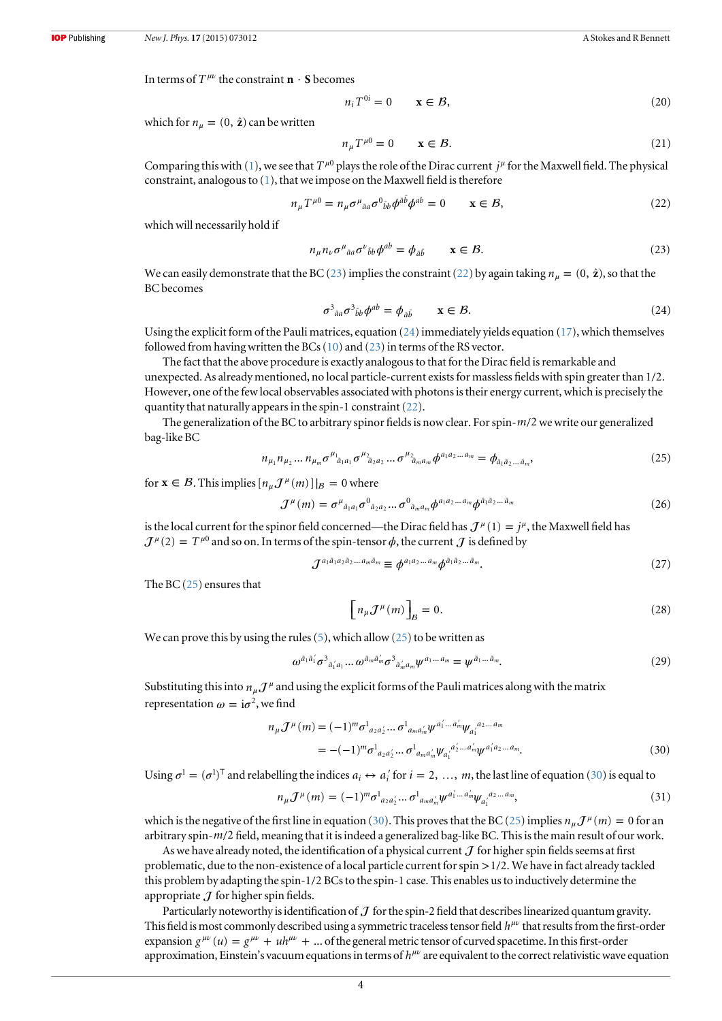<span id="page-4-0"></span>In terms of  $T^{\mu\nu}$  the constraint  $\mathbf{n} \cdot \mathbf{S}$  becomes

$$
n_i T^{0i} = 0 \qquad \mathbf{x} \in \mathcal{B},\tag{20}
$$

which for  $n_{\mu} = (0, \hat{z})$  can be written

$$
n_{\mu}T^{\mu 0} = 0 \qquad \mathbf{x} \in \mathcal{B}.\tag{21}
$$

Comparing this with ([1\)](#page-2-0), we see that  $T^{\mu 0}$  plays the role of the Dirac current  $j^{\mu}$  for the Maxwell field. The physical constraint, analogous to ([1\)](#page-2-0), that we impose on the Maxwell field is therefore

$$
n_{\mu}T^{\mu 0} = n_{\mu}\sigma^{\mu}{}_{\bar{a}a}\sigma^{0}{}_{\bar{b}b}\phi^{\bar{a}\bar{b}}\phi^{ab} = 0 \qquad \mathbf{x} \in \mathcal{B},\tag{22}
$$

which will necessarily hold if

$$
n_{\mu}n_{\nu}\sigma^{\mu}{}_{\tilde{a}a}\sigma^{\nu}{}_{\tilde{b}b}\phi^{ab} = \phi_{\tilde{a}\tilde{b}} \qquad \mathbf{x} \in \mathcal{B}.\tag{23}
$$

We can easily demonstrate that the BC (23) implies the constraint (22) by again taking  $n_\mu = (0, \hat{z})$ , so that the BC becomes

$$
\sigma^3{}_{\tilde{a}a} \sigma^3{}_{\tilde{b}b} \phi^{ab} = \phi_{\tilde{a}\tilde{b}} \qquad \mathbf{x} \in \mathcal{B}.\tag{24}
$$

Using the explicit form of the Pauli matrices, equation (24) immediately yields equation [\(17\)](#page-3-0), which themselves followed from having written the BCs  $(10)$  $(10)$  $(10)$  and  $(23)$  in terms of the RS vector.

The fact that the above procedure is exactly analogous to that for the Dirac field is remarkable and unexpected. As already mentioned, no local particle-current exists for massless fields with spin greater than  $1/2$ . However, one of the few local observables associated with photons is their energy current, which is precisely the quantity that naturally appears in the spin-1 constraint (22).

The generalization of the BC to arbitrary spinor fields is now clear. For spin- $m/2$  we write our generalized bag-like BC

$$
n_{\mu_1} n_{\mu_2} \dots n_{\mu_m} \sigma^{\mu_1}{}_{\bar{a}_1 a_1} \sigma^{\mu_2}{}_{\bar{a}_2 a_2} \dots \sigma^{\mu_2}{}_{\bar{a}_m a_m} \phi^{a_1 a_2 \dots a_m} = \phi_{\bar{a}_1 \bar{a}_2 \dots \bar{a}_m},\tag{25}
$$

for  $\mathbf{x} \in \mathcal{B}$ . This implies  $[n_u \mathcal{J}^\mu(m)]|_{\mathcal{B}} = 0$  where

$$
\mathcal{J}^{\mu}(m) = \sigma^{\mu}{}_{\bar{a}_1 a_1} \sigma^0{}_{\bar{a}_2 a_2} \dots \sigma^0{}_{\bar{a}_m a_m} \phi^{a_1 a_2 \dots a_m} \phi^{\bar{a}_1 \bar{a}_2 \dots \bar{a}_m} \tag{26}
$$

is the local current for the spinor field concerned—the Dirac field has  $J^{\mu}(1) = j^{\mu}$ , the Maxwell field has  $J^{\mu}(2) = T^{\mu 0}$  and so on. In terms of the spin-tensor  $\phi$ , the current  $J$  is defined by

$$
\mathcal{J}^{a_1\bar{a}_1a_2\bar{a}_2\ldots a_m\bar{a}_m} \equiv \phi^{a_1a_2\ldots a_m} \phi^{\bar{a}_1\bar{a}_2\ldots \bar{a}_m}.
$$
\n
$$
(27)
$$

The BC (25) ensures that

$$
\left[n_{\mu}J^{\mu}(m)\right]_{B} = 0. \tag{28}
$$

We can prove this by using the rules  $(5)$ , which allow  $(25)$  to be written as

$$
\omega^{\bar{a}_1\bar{a}'_1}\sigma^3{}_{\bar{a}'_1a_1}\dots\omega^{\bar{a}_m\bar{a}'_m}\sigma^3{}_{\bar{a}'_m a_m}\psi^{a_1\dots a_m}=\psi^{\bar{a}_1\dots \bar{a}_m}.
$$
\n(29)

Substituting this into  $n_\mu \mathcal{J}^\mu$  and using the explicit forms of the Pauli matrices along with the matrix representation  $\omega = i\sigma^2$ , we find

$$
n_{\mu}J^{\mu}(m) = (-1)^{m} \sigma_{a_{2}a'_{2}}^{1} ... \sigma_{a_{m}a'_{m}}^{1} \psi^{a'_{1}...a'_{m}} \psi_{a'_{1}}^{a_{2}...a_{m}}
$$
  
= -(-1)<sup>m</sup>  $\sigma_{a_{2}a'_{2}}^{1} ... \sigma_{a_{m}a'_{m}}^{1} \psi_{a'_{1}}^{a'_{2}...a'_{m}} \psi^{a'_{1}a_{2}...a_{m}}.$  (30)

Using  $\sigma^1 = (\sigma^1)^\top$  and relabelling the indices  $a_i \leftrightarrow a'_i$  for  $i = 2, ..., m$ , the last line of equation (30) is equal to

$$
n_{\mu}J^{\mu}(m) = (-1)^{m} \sigma_{a_{2}a'_{2}}^{1} ... \sigma_{a_{m}a'_{m}}^{1} \psi^{a'_{1} ... a'_{m}} \psi_{a'_{1}}^{a_{2} ... a_{m}},
$$
\n(31)

which is the negative of the first line in equation (30). This proves that the BC (25) implies  $n_\mu \mathcal{J}^\mu(m) = 0$  for an arbitrary spin-*m* 2 field, meaning that it is indeed a generalized bag-like BC. This is the main result of our work.

As we have already noted, the identification of a physical current  $J$  for higher spin fields seems at first problematic, due to the non-existence of a local particle current for spin  $>1/2$ . We have in fact already tackled this problem by adapting the spin-1 2 BCs to the spin-1 case. This enables us to inductively determine the appropriate  $J$  for higher spin fields.

Particularly noteworthy is identification of  $J$  for the spin-2 field that describes linearized quantum gravity. This field is most commonly described using a symmetric traceless tensor field *hμν* that results from the first-order expansion  $g^{\mu\nu}(u) = g^{\mu\nu} + uh^{\mu\nu} + ...$  of the general metric tensor of curved spacetime. In this first-order approximation, Einstein's vacuum equations in terms of *hμν* are equivalent to the correct relativistic wave equation